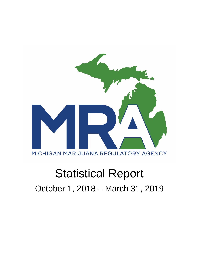

# Statistical Report October 1, 2018 – March 31, 2019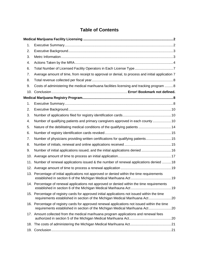# **Table of Contents**

| 1.  |                                                                                                                                                                              |  |
|-----|------------------------------------------------------------------------------------------------------------------------------------------------------------------------------|--|
| 2.  |                                                                                                                                                                              |  |
| 3.  |                                                                                                                                                                              |  |
| 4.  |                                                                                                                                                                              |  |
| 6.  |                                                                                                                                                                              |  |
| 7.  | Average amount of time, from receipt to approval or denial, to process and initial application 7                                                                             |  |
| 8.  |                                                                                                                                                                              |  |
| 9.  | Costs of administering the medical marihuana facilities licensing and tracking program 8                                                                                     |  |
| 10. |                                                                                                                                                                              |  |
|     |                                                                                                                                                                              |  |
| 1.  |                                                                                                                                                                              |  |
| 2.  |                                                                                                                                                                              |  |
| 3.  |                                                                                                                                                                              |  |
| 4.  | Number of qualifying patients and primary caregivers approved in each county 10                                                                                              |  |
| 5.  | Nature of the debilitating medical conditions of the qualifying patients  14                                                                                                 |  |
| 6.  |                                                                                                                                                                              |  |
| 7.  | Number of physicians providing written certifications for qualifying patients 15                                                                                             |  |
| 8.  |                                                                                                                                                                              |  |
| 9.  | Number of initial applications issued, and the initial applications denied  16                                                                                               |  |
| 10. |                                                                                                                                                                              |  |
| 11. | Number of renewal applications issued & the number of renewal applications denied 18                                                                                         |  |
|     |                                                                                                                                                                              |  |
|     | 13. Percentage of initial applications not approved or denied within the time requirements                                                                                   |  |
|     | 14. Percentage of renewal applications not approved or denied within the time requirements                                                                                   |  |
|     | 15. Percentage of registry cards for approved initial applications not issued within the time<br>requirements established in section of the Michigan Medical Marihuana Act20 |  |
|     | 16. Percentage of registry cards for approved renewal applications not issued within the time<br>requirements established in section of the Michigan Medical Marihuana Act20 |  |
|     | 17. Amount collected from the medical marihuana program applications and renewal fees                                                                                        |  |
|     |                                                                                                                                                                              |  |
|     |                                                                                                                                                                              |  |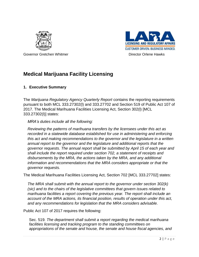



<span id="page-2-0"></span>Governor Gretchen Whitmer **Director Orlene Hawks Director Orlene Hawks** 

# **Medical Marijuana Facility Licensing**

#### <span id="page-2-1"></span>**1. Executive Summary**

The *Marijuana Regulatory Agency Quarterly Report* contains the reporting requirements pursuant to both MCL 333.27302(l) and 333.27702 and Section 519 of Public Act 107 of 2017. The Medical Marihuana Facilities Licensing Act, Section 302(l) [MCL 333.27302(l)] states:

*MRA's duties include all the following:*

*Reviewing the patterns of marihuana transfers by the licensees under this act as recorded in a statewide database established for use in administering and enforcing this act and making recommendations to the governor and the legislature in a written annual report to the governor and the legislature and additional reports that the governor requests. The annual report shall be submitted by April 15 of each year and shall include the report required under section 702, a statement of receipts and disbursements by the MRA, the actions taken by the MRA, and any additional information and recommendations that the MRA considers appropriate or that the governor requests.*

The Medical Marihuana Facilities Licensing Act, Section 702 [MCL 333.27702] states:

*The MRA shall submit with the annual report to the governor under section 302(k) (sic) and to the chairs of the legislative committees that govern issues related to marihuana facilities a report covering the previous year. The report shall include an account of the MRA actions, its financial position, results of operation under this act, and any recommendations for legislation that the MRA considers advisable.*

Public Act 107 of 2017 requires the following:

Sec. 519*. The department shall submit a report regarding the medical marihuana facilities licensing and tracking program to the standing committees on appropriations of the senate and house, the senate and house fiscal agencies, and*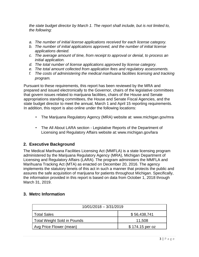*the state budget director by March 1. The report shall include, but is not limited to, the following:*

- *a. The number of initial license applications received for each license category.*
- *b. The number of initial applications approved, and the number of initial license applications denied.*
- *c. The average amount of time, from receipt to approval or denial, to process an initial application.*
- *d. The total number of license applications approved by license category.*
- *e. The total amount collected from application fees and regulatory assessments.*
- *f. The costs of administering the medical marihuana facilities licensing and tracking program.*

Pursuant to these requirements, this report has been reviewed by the MRA and prepared and issued electronically to the Governor, chairs of the legislative committees that govern issues related to marijuana facilities, chairs of the House and Senate appropriations standing committees, the House and Senate Fiscal Agencies, and the state budget director to meet the annual, March 1 and April 15 reporting requirements. In addition, this report is also online under the following locations:

- The Marijuana Regulatory Agency (MRA) website at: [www.michigan.gov/mra](http://www.michigan.gov/mra)
- The All About LARA section Legislative Reports of the Department of Licensing and Regulatory Affairs website at: [www.michigan.gov/lara](http://www.michigan.gov/lara/)

#### <span id="page-3-0"></span>**2. Executive Background**

The Medical Marihuana Facilities Licensing Act (MMFLA) is a state licensing program administered by the Marijuana Regulatory Agency (MRA), Michigan Department of Licensing and Regulatory Affairs (LARA). The program administers the MMFLA and Marihuana Tracking Act (MTA) as enacted on December 20, 2016. The agency implements the statutory tenets of this act in such a manner that protects the public and assures the safe acquisition of marijuana for patients throughout Michigan. Specifically, the information provided in this report is based on data from October 1, 2018 through March 31, 2019.

#### <span id="page-3-1"></span>**3. Metrc Information**

| 10/01/2018 - 3/31/2019      |                 |  |
|-----------------------------|-----------------|--|
| <b>Total Sales</b>          | \$56,438,741    |  |
| Total Weight Sold in Pounds | 11,508          |  |
| Avg Price Flower (mean)     | \$174.15 per oz |  |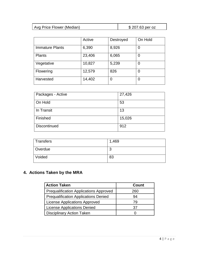| Avg Price Flower (Median) | \$207.63 per oz |
|---------------------------|-----------------|
|---------------------------|-----------------|

|                        | Active | Destroyed | On Hold |
|------------------------|--------|-----------|---------|
| <b>Immature Plants</b> | 6,390  | 8,926     | 0       |
| <b>Plants</b>          | 23,406 | 6,065     | 0       |
| Vegetative             | 10,827 | 5,239     | 0       |
| Flowering              | 12,579 | 826       | 0       |
| Harvested              | 14,402 | 0         | 0       |

| Packages - Active   | 27,426 |
|---------------------|--------|
| On Hold             | 53     |
| In Transit          | 13     |
| Finished            | 15,026 |
| <b>Discontinued</b> | 912    |

| Transfers | 1,469  |
|-----------|--------|
| Overdue   | ,<br>J |
| Voided    | 83     |

# <span id="page-4-0"></span>**4. Actions Taken by the MRA**

| <b>Action Taken</b>                           | Count |
|-----------------------------------------------|-------|
| <b>Prequalification Applications Approved</b> | 260   |
| <b>Prequalification Applications Denied</b>   | 94    |
| License Applications Approved                 | 79    |
| <b>License Applications Denied</b>            | 37    |
| <b>Disciplinary Action Taken</b>              |       |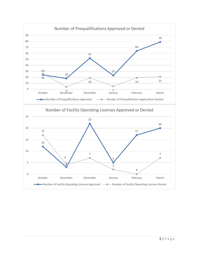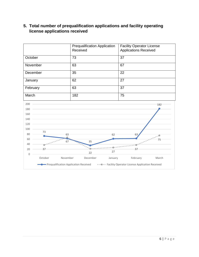## **5. Total number of prequalification applications and facility operating license applications received**

|           | <b>Prequalification Application</b>              | <b>Facility Operator License</b>                       |
|-----------|--------------------------------------------------|--------------------------------------------------------|
|           | Received                                         | <b>Applications Received</b>                           |
| October   | 73                                               | 37                                                     |
| November  | 63                                               | 67                                                     |
| December  | 35                                               | 22                                                     |
| January   | 62                                               | 27                                                     |
| February  | 63                                               | 37                                                     |
| March     | 182                                              | 75                                                     |
| 200       |                                                  | 182                                                    |
| 180       |                                                  |                                                        |
| 160       |                                                  |                                                        |
| 140       |                                                  |                                                        |
| 120       |                                                  |                                                        |
| 100<br>73 |                                                  |                                                        |
| 80        | 63                                               | 63<br>62                                               |
| 60        | 35<br>67                                         | 75<br>$\sqrt{e^{-\theta}}$                             |
| 40        |                                                  |                                                        |
| 20<br>37  |                                                  | 37<br>27                                               |
| 0         | 22                                               |                                                        |
| October   | November<br>December                             | February<br>January<br>March                           |
|           | <b>The Prequalification Application Received</b> | ••• ••• Facility Operator License Application Received |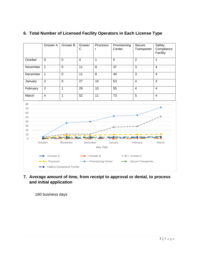

### <span id="page-7-0"></span>**6. Total Number of Licensed Facility Operators in Each License Type**

<span id="page-7-1"></span>**7. Average amount of time, from receipt to approval or denial, to process and initial application**

160 business days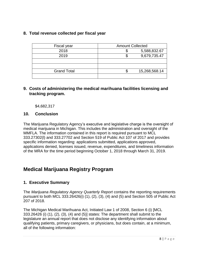#### <span id="page-8-0"></span>**8. Total revenue collected per fiscal year**

| Fiscal year        | <b>Amount Collected</b> |  |
|--------------------|-------------------------|--|
| 2018               | 5,588,832.67            |  |
| 2019               | 9,679,735.47            |  |
|                    |                         |  |
|                    |                         |  |
| <b>Grand Total</b> | 15,268,568.14           |  |
|                    |                         |  |

#### <span id="page-8-1"></span>**9. Costs of administering the medical marihuana facilities licensing and tracking program.**

\$4,682,317

#### **10. Conclusion**

The Marijuana Regulatory Agency's executive and legislative charge is the oversight of medical marijuana in Michigan. This includes the administration and oversight of the MMFLA. The information contained in this report is required pursuant to MCL 333.27302(l) and 333.27702 and Section 519 of Public Act 107 of 2017 and provides specific information regarding: applications submitted, applications approved, applications denied, licenses issued, revenue, expenditures, and timeliness information of the MRA for the time period beginning October 1, 2018 through March 31, 2019.

# <span id="page-8-2"></span>**Medical Marijuana Registry Program**

#### <span id="page-8-3"></span>**1. Executive Summary**

The *Marijuana Regulatory Agency Quarterly Report* contains the reporting requirements pursuant to both MCL 333.26426(i) (1), (2), (3), (4) and (5) and Section 505 of Public Act 207 of 2018.

The Michigan Medical Marihuana Act, Initiated Law 1 of 2008, Section 6 (i) [MCL 333.26426 (i) (1), (2), (3), (4) and (5)] states: The department shall submit to the legislature an annual report that does not disclose any identifying information about qualifying patients, primary caregivers, or physicians, but does contain, at a minimum, all of the following information: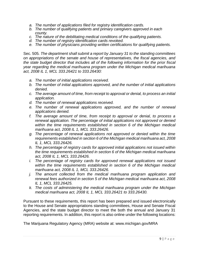- *a. The number of applications filed for registry identification cards.*
- *b. The number of qualifying patients and primary caregivers approved in each county.*
- *c. The nature of the debilitating medical conditions of the qualifying patients.*
- *d. The number of registry identification cards revoked.*
- *e. The number of physicians providing written certifications for qualifying patients.*

Sec. 505*. The department shall submit a report by January 31 to the standing committees on appropriations of the senate and house of representatives, the fiscal agencies, and the state budget director that includes all of the following information for the prior fiscal year regarding the medical marihuana program under the Michigan medical marihuana act, 2008 IL 1, MCL 333.26421 to 333.26430:*

- *a. The number of initial applications received.*
- *b. The number of initial applications approved, and the number of initial applications denied.*
- *c. The average amount of time, from receipt to approval or denial, to process an initial application.*
- *d. The number of renewal applications received.*
- *e. The number of renewal applications approved, and the number of renewal applications denied.*
- *f. The average amount of time, from receipt to approval or denial, to process a renewal application. The percentage of initial applications not approved or denied within the time requirements established in section 6 of the Michigan medical marihuana act, 2008 IL 1, MCL 333.26426.*
- *g. The percentage of renewal applications not approved or denied within the time requirements established in section 6 of the Michigan medical marihuana act, 2008 IL 1, MCL 333.26426.*
- *h. The percentage of registry cards for approved initial applications not issued within the time requirements established in section 6 of the Michigan medical marihuana act, 2008 IL 1, MCL 333.26426.*
- *i. The percentage of registry cards for approved renewal applications not issued within the time requirements established in section 6 of the Michigan medical marihuana act, 2008 IL 1, MCL 333.26426.*
- *j. The amount collected from the medical marihuana program application and renewal fees authorized in section 5 of the Michigan medical marihuana act, 2008 IL 1, MCL 333.26425.*
- *k. The costs of administering the medical marihuana program under the Michigan medical marihuana act, 2008 IL 1, MCL 333.26421 to 333.26430.*

Pursuant to these requirements, this report has been prepared and issued electronically to the House and Senate appropriations standing committees, House and Senate Fiscal Agencies, and the state budget director to meet the both the annual and January 31 reporting requirements. In addition, this report is also online under the following locations:

The Marijuana Regulatory Agency (MRA) website at: [www.michigan.gov/MRA](http://www.michigan.gov/bmr)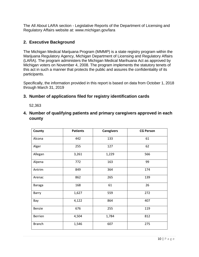The All About LARA section - Legislative Reports of the Department of Licensing and Regulatory Affairs website at: [w](http://www.michigan.gov/lara/)ww.michigan.gov/lara

#### <span id="page-10-0"></span>**2. Executive Background**

The Michigan Medical Marijuana Program (MMMP) is a state registry program within the Marijuana Regulatory Agency, Michigan Department of Licensing and Regulatory Affairs (LARA). The program administers the Michigan Medical Marihuana Act as approved by Michigan voters on November 4, 2008. The program implements the statutory tenets of this act in such a manner that protects the public and assures the confidentiality of its participants.

Specifically, the information provided in this report is based on data from October 1, 2018 through March 31, 2019

#### **3. Number of applications filed for registry identification cards**

<span id="page-10-1"></span>52,363

<span id="page-10-2"></span>**4. Number of qualifying patients and primary caregivers approved in each county**

| County         | <b>Patients</b> | <b>Caregivers</b> | <b>CG Person</b> |
|----------------|-----------------|-------------------|------------------|
| Alcona         | 442             | 133               | 61               |
| Alger          | 255             | 127               | 62               |
| Allegan        | 3,261           | 1,229             | 566              |
| Alpena         | 772             | 163               | 99               |
| Antrim         | 849             | 364               | 174              |
| Arenac         | 862             | 265               | 139              |
| <b>Baraga</b>  | 168             | 61                | 26               |
| Barry          | 1,627           | 559               | 272              |
| Bay            | 4,122           | 864               | 407              |
| Benzie         | 676             | 255               | 119              |
| <b>Berrien</b> | 4,504           | 1,784             | 812              |
| <b>Branch</b>  | 1,546           | 607               | 275              |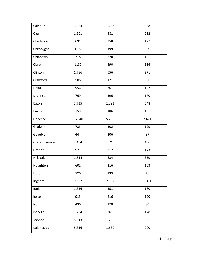| Calhoun               | 3,623  | 1,247 | 668   |
|-----------------------|--------|-------|-------|
| Cass                  | 1,601  | 581   | 282   |
| Charlevoix            | 691    | 258   | 127   |
| Cheboygan             | 615    | 199   | 97    |
| Chippewa              | 718    | 278   | 121   |
| Clare                 | 1187   | 390   | 186   |
| Clinton               | 1,786  | 556   | 271   |
| Crawford              | 506    | 171   | 82    |
| Delta                 | 956    | 361   | 187   |
| Dickinson             | 769    | 396   | 170   |
| Eaton                 | 3,735  | 1,393 | 648   |
| Emmet                 | 759    | 186   | 101   |
| Genesee               | 16,040 | 5,735 | 2,671 |
| Gladwin               | 783    | 302   | 129   |
| Gogebic               | 444    | 206   | 97    |
| <b>Grand Traverse</b> | 2,464  | 871   | 406   |
| Gratiot               | 977    | 312   | 143   |
| Hillsdale             | 1,814  | 684   | 339   |
| Houghton              | 602    | 216   | 103   |
| Huron                 | 720    | 133   | 76    |
| Ingham                | 9,087  | 2,837 | 1,331 |
| Ionia                 | 1,356  | 351   | 180   |
| losco                 | 913    | 216   | 120   |
| Iron                  | 430    | 178   | 80    |
| Isabella              | 1,234  | 361   | 178   |
| Jackson               | 5,013  | 1,735 | 861   |
| Kalamazoo             | 5,316  | 1,630 | 900   |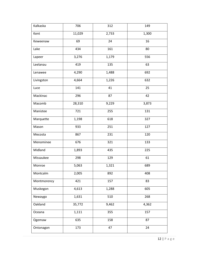| Kalkaska    | 706    | 312   | 149   |
|-------------|--------|-------|-------|
| Kent        | 11,029 | 2,733 | 1,300 |
| Keweenaw    | 69     | 24    | 16    |
| Lake        | 434    | 161   | 80    |
| Lapeer      | 3,276  | 1,179 | 556   |
| Leelanau    | 419    | 135   | 63    |
| Lenawee     | 4,290  | 1,488 | 692   |
| Livingston  | 4,664  | 1,226 | 632   |
| Luce        | 141    | 41    | 25    |
| Mackinac    | 296    | 87    | 42    |
| Macomb      | 28,310 | 9,229 | 3,873 |
| Manistee    | 721    | 255   | 131   |
| Marquette   | 1,198  | 618   | 327   |
| Mason       | 933    | 251   | 127   |
| Mecosta     | 867    | 231   | 120   |
| Menominee   | 676    | 321   | 133   |
| Midland     | 1,893  | 435   | 225   |
| Missaukee   | 298    | 129   | 61    |
| Monroe      | 5,063  | 1,321 | 689   |
| Montcalm    | 2,005  | 892   | 408   |
| Montmorency | 421    | 157   | 83    |
| Muskegon    | 4,613  | 1,288 | 605   |
| Newaygo     | 1,631  | 510   | 268   |
| Oakland     | 35,772 | 9,462 | 4,362 |
| Oceana      | 1,111  | 355   | 157   |
| Ogemaw      | 635    | 158   | 87    |
| Ontonagon   | 173    | 47    | 24    |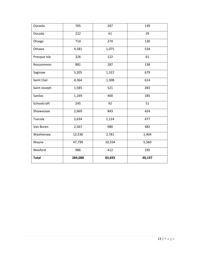| Osceola      | 705     | 287    | 139    |
|--------------|---------|--------|--------|
| Oscoda       | 222     | 61     | 29     |
| Otsego       | 714     | 274    | 130    |
| Ottawa       | 4,581   | 1,075  | 534    |
| Presque Isle | 326     | 122    | 61     |
| Roscommon    | 881     | 287    | 138    |
| Saginaw      | 5,205   | 1,322  | 679    |
| Saint Clair  | 4,364   | 1,308  | 614    |
| Saint Joseph | 1,585   |        | 283    |
| Sanilac      | 1,169   | 400    | 185    |
| Schoolcraft  | 245     | 92     | 51     |
| Shiawassee   | 2,669   | 843    | 424    |
| Tuscola      | 2,634   | 1,124  | 477    |
| Van Buren    | 2,567   |        | 482    |
| Washtenaw    | 12,536  | 2,781  | 1,404  |
| Wayne        | 47,799  | 10,554 | 5,560  |
| Wexford      | 986     | 412    | 195    |
| <b>Total</b> | 284,088 | 83,693 | 40,197 |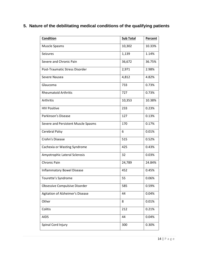# <span id="page-14-0"></span>**5. Nature of the debilitating medical conditions of the qualifying patients**

| <b>Condition</b>                        | <b>Sub Total</b> | Percent |
|-----------------------------------------|------------------|---------|
| Muscle Spasms                           | 10,302           | 10.33%  |
| Seizures                                | 1,139            | 1.14%   |
| Severe and Chronic Pain                 | 36,672           | 36.75%  |
| Post-Traumatic Stress Disorder          | 2,971            | 2.98%   |
| Severe Nausea                           | 4,812            | 4.82%   |
| Glaucoma                                | 733              | 0.73%   |
| <b>Rheumatoid Arthritis</b>             | 727              | 0.73%   |
| Arthritis                               | 10,353           | 10.38%  |
| <b>HIV Positive</b>                     | 233              | 0.23%   |
| Parkinson's Disease                     | 127              | 0.13%   |
| Severe and Persistent Muscle Spasms     | 170              | 0.17%   |
| Cerebral Palsy                          | 6                | 0.01%   |
| Crohn's Disease                         | 515              | 0.52%   |
| Cachexia or Wasting Syndrome            | 425              | 0.43%   |
| Amyotrophic Lateral Sclerosis           | 32               | 0.03%   |
| <b>Chronic Pain</b>                     | 24,789           | 24.84%  |
| <b>Inflammatory Bowel Disease</b>       | 452              | 0.45%   |
| Tourette's Syndrome                     | 55               | 0.06%   |
| Obsessive Compulsive Disorder           | 585              | 0.59%   |
| <b>Agitation of Alzheimer's Disease</b> | 44               | 0.04%   |
| Other                                   | 8                | 0.01%   |
| Colitis                                 | 212              | 0.21%   |
| <b>AIDS</b>                             | 44               | 0.04%   |
| Spinal Cord Injury                      | 300              | 0.30%   |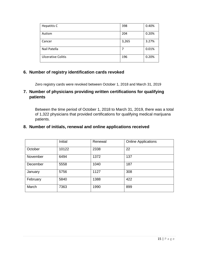| Hepatitis C               | 398   | 0.40% |
|---------------------------|-------|-------|
| Autism                    | 204   | 0.20% |
| Cancer                    | 3,265 | 3.27% |
| Nail Patella              |       | 0.01% |
| <b>Ulcerative Colitis</b> | 196   | 0.20% |

#### <span id="page-15-0"></span>**6. Number of registry identification cards revoked**

Zero registry cards were revoked between October 1, 2018 and March 31, 2019

#### <span id="page-15-1"></span>**7. Number of physicians providing written certifications for qualifying patients**

Between the time period of October 1, 2018 to March 31, 2019, there was a total of 1,322 physicians that provided certifications for qualifying medical marijuana patients.

#### <span id="page-15-2"></span>**8. Number of initials, renewal and online applications received**

|          | Initial | Renewal | <b>Online Applications</b> |  |
|----------|---------|---------|----------------------------|--|
| October  | 10122   | 2338    | 22                         |  |
| November | 6494    | 1372    | 137                        |  |
| December | 5558    | 1040    | 187                        |  |
| January  | 5756    | 1127    | 308                        |  |
| February | 5840    | 1388    | 422                        |  |
| March    | 7363    | 1990    | 899                        |  |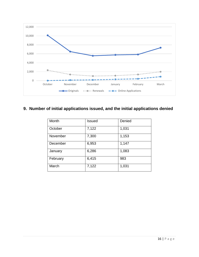

### <span id="page-16-0"></span>**9. Number of initial applications issued, and the initial applications denied**

| Month    | <b>Issued</b> | Denied |
|----------|---------------|--------|
| October  | 7,122         | 1,031  |
| November | 7,300         | 1,153  |
| December | 6,953         | 1,147  |
| January  | 6,286         | 1,083  |
| February | 6,415         | 983    |
| March    | 7,122         | 1,031  |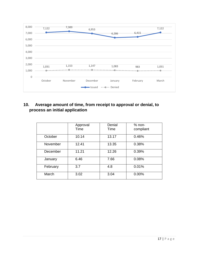

### <span id="page-17-0"></span>**10. Average amount of time, from receipt to approval or denial, to process an initial application**

|          | Approval<br>Time | Denial<br>Time | $%$ non-<br>compliant |  |
|----------|------------------|----------------|-----------------------|--|
| October  | 10.14            | 13.17          | 0.46%                 |  |
| November | 12.41            | 13.35          | 0.38%                 |  |
| December | 11.21            | 12.26          | 0.39%                 |  |
| January  | 6.46             | 7.66           | 0.08%                 |  |
| February | 3.7              | 4.8            | 0.01%                 |  |
| March    | 3.02             | 3.04           | 0.00%                 |  |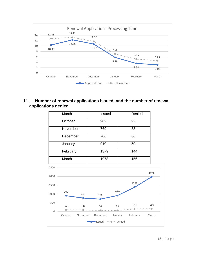

<span id="page-18-0"></span>**11. Number of renewal applications issued, and the number of renewal applications denied**

| Month                            |          | Issued   |                                  | Denied                                |          |       |
|----------------------------------|----------|----------|----------------------------------|---------------------------------------|----------|-------|
| October                          |          | 902      |                                  | 92                                    |          |       |
|                                  | November |          | 769                              |                                       | 88       |       |
|                                  | December |          | 706                              |                                       | 66       |       |
|                                  | January  |          | 910                              |                                       | 59       |       |
|                                  | February |          | 1379                             |                                       | 144      |       |
|                                  | March    |          | 1978                             |                                       | 156      |       |
| 2500                             |          |          |                                  |                                       |          |       |
| 2000                             |          |          |                                  |                                       |          | 1978  |
| 1500                             |          |          |                                  |                                       | 1379     |       |
| 1000                             | 902      | 769      |                                  | 910                                   |          |       |
|                                  |          |          | 706                              |                                       |          |       |
| 500                              | 92       | 88       | 66                               | 59                                    | 144      | 156   |
| $\mathbf 0$                      | October  | November | $\ddot{\phantom{a}}$<br>December | office and a second office<br>January | February | March |
| Similar Research Street Figure 1 |          |          |                                  |                                       |          |       |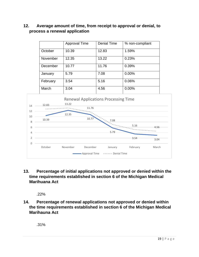#### <span id="page-19-0"></span>**12. Average amount of time, from receipt to approval or denial, to process a renewal application**

|          | Approval Time | <b>Denial Time</b> | % non-compliant |  |
|----------|---------------|--------------------|-----------------|--|
| October  | 10.39         | 12.83              | 1.59%           |  |
| November | 12.35         | 13.22              | 0.23%           |  |
| December | 10.77         | 11.76              | 0.39%           |  |
| January  | 5.79          | 7.08               | 0.00%           |  |
| February | 3.54          | 5.16               | 0.06%           |  |
| March    | 3.04          | 4.56               | 0.00%           |  |



<span id="page-19-1"></span>**13. Percentage of initial applications not approved or denied within the time requirements established in section 6 of the Michigan Medical Marihuana Act**

.22%

<span id="page-19-2"></span>**14. Percentage of renewal applications not approved or denied within the time requirements established in section 6 of the Michigan Medical Marihauna Act**

.31%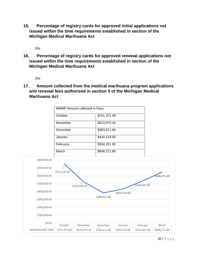<span id="page-20-0"></span>**15. Percentage of registry cards for approved initial applications not issued within the time requirements established in section of the Michigan Medical Marihuana Act**

0%

<span id="page-20-1"></span>**16. Percentage of registry cards for approved renewal applications not issued within the time requirements established in section of the Michigan Medical Marihuana Act**

0%

<span id="page-20-2"></span>**17. Amount collected from the medical marihuana program applications and renewal fees authorized in section 5 of the Michigan Medical Marihuana Act**